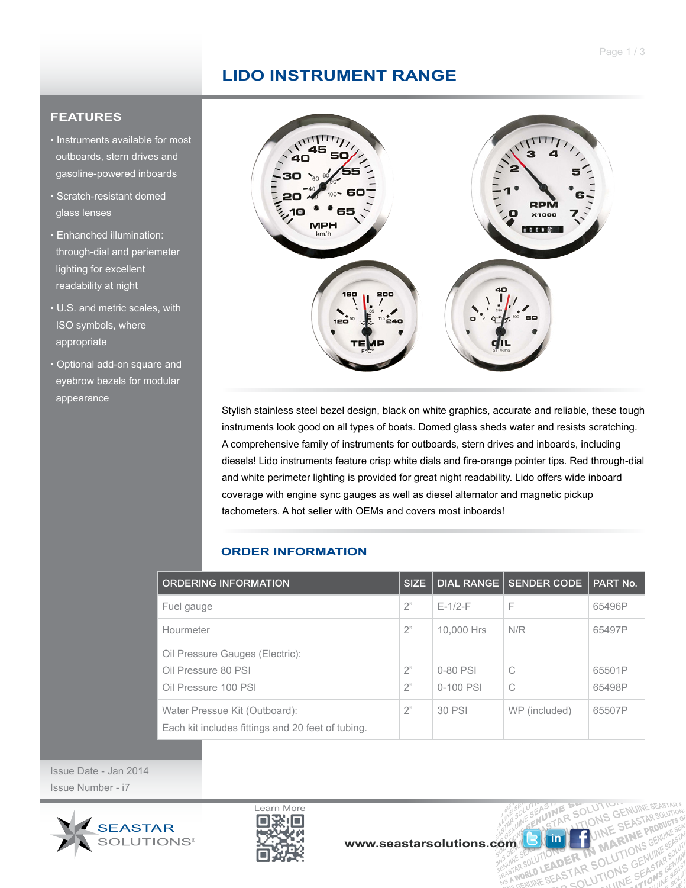## **LIDO INSTRUMENT RANGE**

## **FEATURES**

- Instruments available for most outboards, stern drives and gasoline-powered inboards
- Scratch-resistant domed glass lenses
- Enhanched illumination: through-dial and periemeter lighting for excellent readability at night
- U.S. and metric scales, with ISO symbols, where appropriate
- Optional add-on square and eyebrow bezels for modular appearance



Stylish stainless steel bezel design, black on white graphics, accurate and reliable, these tough instruments look good on all types of boats. Domed glass sheds water and resists scratching. A comprehensive family of instruments for outboards, stern drives and inboards, including diesels! Lido instruments feature crisp white dials and fire-orange pointer tips. Red through-dial and white perimeter lighting is provided for great night readability. Lido offers wide inboard coverage with engine sync gauges as well as diesel alternator and magnetic pickup tachometers. A hot seller with OEMs and covers most inboards!

## **ORDER INFORMATION**

| <b>ORDERING INFORMATION</b>                                                        | <b>SIZE</b> |            | DIAL RANGE   SENDER CODE | PART No. |
|------------------------------------------------------------------------------------|-------------|------------|--------------------------|----------|
| Fuel gauge                                                                         | 2"          | $F-1/2-F$  | F                        | 65496P   |
| Hourmeter                                                                          | 2"          | 10,000 Hrs | N/R                      | 65497P   |
| Oil Pressure Gauges (Electric):                                                    |             |            |                          |          |
| Oil Pressure 80 PSI                                                                | 2"          | 0-80 PSI   | C                        | 65501P   |
| Oil Pressure 100 PSI                                                               | 2"          | 0-100 PSI  | C                        | 65498P   |
| Water Pressue Kit (Outboard):<br>Each kit includes fittings and 20 feet of tubing. | 2"          | 30 PSI     | WP (included)            | 65507P   |

Issue Date - Jan 2014 Issue Number - i7





**MA** 

N MANTIONS UNE

UTIONS ER TN MIANTI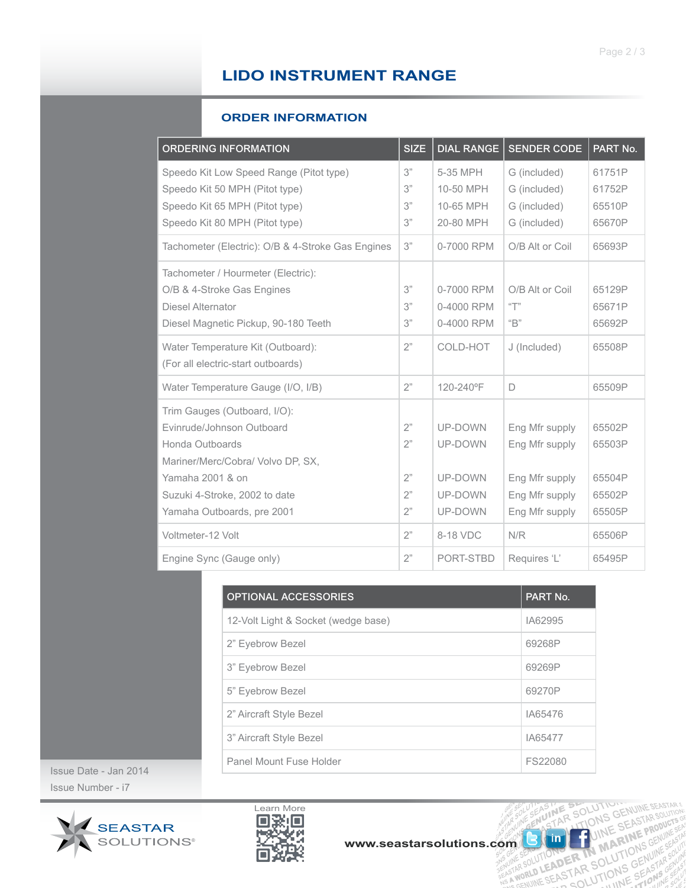# **LIDO INSTRUMENT RANGE**

### **ORDER INFORMATION**

| <b>ORDERING INFORMATION</b>                                                                                                                   | <b>SIZE</b>          | <b>DIAL RANGE</b>                               | <b>SENDER CODE</b>                                           | PART No.                             |
|-----------------------------------------------------------------------------------------------------------------------------------------------|----------------------|-------------------------------------------------|--------------------------------------------------------------|--------------------------------------|
| Speedo Kit Low Speed Range (Pitot type)<br>Speedo Kit 50 MPH (Pitot type)<br>Speedo Kit 65 MPH (Pitot type)<br>Speedo Kit 80 MPH (Pitot type) | 3"<br>3"<br>3"<br>3" | 5-35 MPH<br>10-50 MPH<br>10-65 MPH<br>20-80 MPH | G (included)<br>G (included)<br>G (included)<br>G (included) | 61751P<br>61752P<br>65510P<br>65670P |
| Tachometer (Electric): O/B & 4-Stroke Gas Engines                                                                                             | 3"                   | 0-7000 RPM                                      | O/B Alt or Coil                                              | 65693P                               |
| Tachometer / Hourmeter (Electric):<br>O/B & 4-Stroke Gas Engines<br>Diesel Alternator<br>Diesel Magnetic Pickup, 90-180 Teeth                 | 3"<br>3"<br>3"       | 0-7000 RPM<br>0-4000 RPM<br>0-4000 RPM          | O/B Alt or Coil<br>$\sqrt{1}$<br>$\mathrm{H}^n$              | 65129P<br>65671P<br>65692P           |
| Water Temperature Kit (Outboard):<br>(For all electric-start outboards)                                                                       | 2"                   | COLD-HOT                                        | J (Included)                                                 | 65508P                               |
| Water Temperature Gauge (I/O, I/B)                                                                                                            | 2"                   | 120-240°F                                       | D                                                            | 65509P                               |
| Trim Gauges (Outboard, I/O):<br>Evinrude/Johnson Outboard<br>Honda Outboards<br>Mariner/Merc/Cobra/ Volvo DP, SX,<br>Yamaha 2001 & on         | 2"<br>2"<br>2"       | UP-DOWN<br>UP-DOWN<br>UP-DOWN                   | Eng Mfr supply<br>Eng Mfr supply<br>Eng Mfr supply           | 65502P<br>65503P<br>65504P           |
| Suzuki 4-Stroke, 2002 to date<br>Yamaha Outboards, pre 2001                                                                                   | 2"<br>2"             | UP-DOWN<br>UP-DOWN                              | Eng Mfr supply<br>Eng Mfr supply                             | 65502P<br>65505P                     |
| Voltmeter-12 Volt                                                                                                                             | 2"                   | 8-18 VDC                                        | N/R                                                          | 65506P                               |
| Engine Sync (Gauge only)                                                                                                                      | 2"                   | PORT-STBD                                       | Requires 'L'                                                 | 65495P                               |

| <b>OPTIONAL ACCESSORIES</b>         | PART No. |
|-------------------------------------|----------|
| 12-Volt Light & Socket (wedge base) | IA62995  |
| 2" Eyebrow Bezel                    | 69268P   |
| 3" Eyebrow Bezel                    | 69269P   |
| 5" Eyebrow Bezel                    | 69270P   |
| 2" Aircraft Style Bezel             | IA65476  |
| 3" Aircraft Style Bezel             | IA65477  |
| Panel Mount Fuse Holder             | FS22080  |

Issue Date - Jan 2014 Issue Number - i7